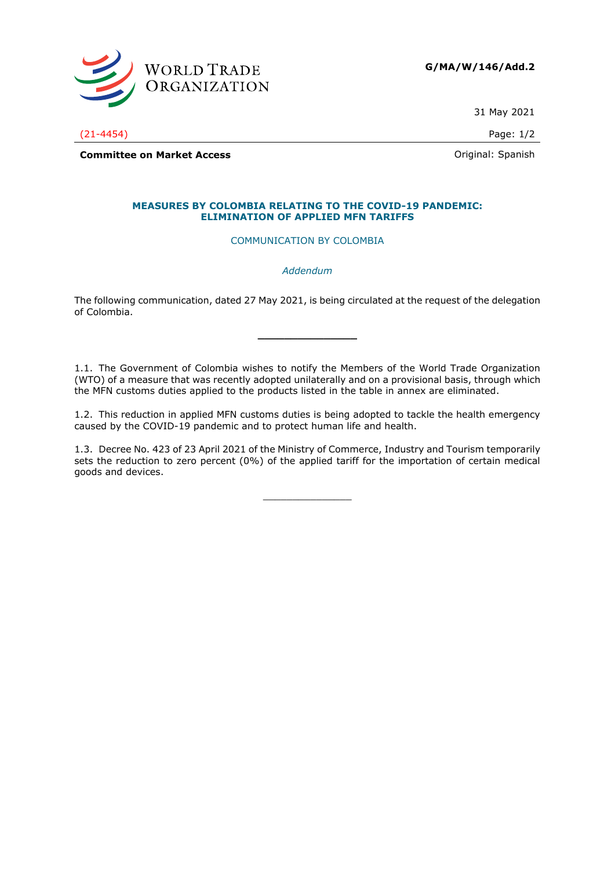

31 May 2021

(21-4454) Page: 1/2

**Committee on Market Access Committee on Market Access Committee on Market Access** 

## **MEASURES BY COLOMBIA RELATING TO THE COVID-19 PANDEMIC: ELIMINATION OF APPLIED MFN TARIFFS**

COMMUNICATION BY COLOMBIA

*Addendum*

The following communication, dated 27 May 2021, is being circulated at the request of the delegation of Colombia.

**\_\_\_\_\_\_\_\_\_\_\_\_\_\_\_**

1.1. The Government of Colombia wishes to notify the Members of the World Trade Organization (WTO) of a measure that was recently adopted unilaterally and on a provisional basis, through which the MFN customs duties applied to the products listed in the table in annex are eliminated.

1.2. This reduction in applied MFN customs duties is being adopted to tackle the health emergency caused by the COVID-19 pandemic and to protect human life and health.

1.3. Decree No. 423 of 23 April 2021 of the Ministry of Commerce, Industry and Tourism temporarily sets the reduction to zero percent (0%) of the applied tariff for the importation of certain medical goods and devices.

 $\frac{1}{2}$  ,  $\frac{1}{2}$  ,  $\frac{1}{2}$  ,  $\frac{1}{2}$  ,  $\frac{1}{2}$  ,  $\frac{1}{2}$  ,  $\frac{1}{2}$  ,  $\frac{1}{2}$  ,  $\frac{1}{2}$  ,  $\frac{1}{2}$  ,  $\frac{1}{2}$  ,  $\frac{1}{2}$  ,  $\frac{1}{2}$  ,  $\frac{1}{2}$  ,  $\frac{1}{2}$  ,  $\frac{1}{2}$  ,  $\frac{1}{2}$  ,  $\frac{1}{2}$  ,  $\frac{1$